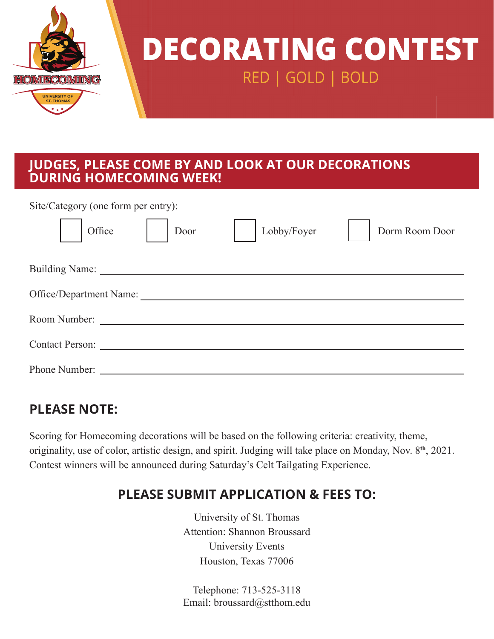

# **DECORATING CONTEST** RED | GOLD | BOLD

#### **JUDGES, PLEASE COME BY AND LOOK AT OUR DECORATIONS DURING HOMECOMING WEEK!**

Site/Category (one form per entry):

| Office                  | Door | Lobby/Foyer | Dorm Room Door |
|-------------------------|------|-------------|----------------|
|                         |      |             |                |
| Office/Department Name: |      |             |                |
|                         |      |             |                |
| Contact Person:         |      |             |                |
|                         |      |             |                |

## **PLEASE NOTE:**

Scoring for Homecoming decorations will be based on the following criteria: creativity, theme, originality, use of color, artistic design, and spirit. Judging will take place on Monday, Nov. 8**th**, 2021. Contest winners will be announced during Saturday's Celt Tailgating Experience.

## **PLEASE SUBMIT APPLICATION & FEES TO:**

University of St. Thomas Attention: Shannon Broussard University Events Houston, Texas 77006

Telephone: 713-525-3118 Email: broussard@stthom.edu